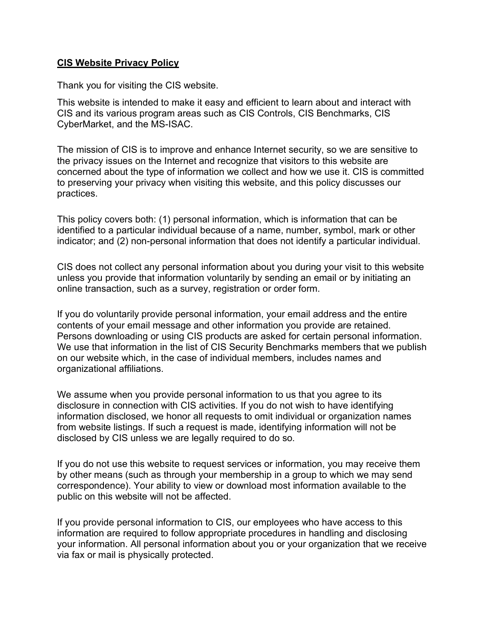### **CIS Website Privacy Policy**

Thank you for visiting the CIS website.

This website is intended to make it easy and efficient to learn about and interact with CIS and its various program areas such as CIS Controls, CIS Benchmarks, CIS CyberMarket, and the MS-ISAC.

The mission of CIS is to improve and enhance Internet security, so we are sensitive to the privacy issues on the Internet and recognize that visitors to this website are concerned about the type of information we collect and how we use it. CIS is committed to preserving your privacy when visiting this website, and this policy discusses our practices.

This policy covers both: (1) personal information, which is information that can be identified to a particular individual because of a name, number, symbol, mark or other indicator; and (2) non-personal information that does not identify a particular individual.

CIS does not collect any personal information about you during your visit to this website unless you provide that information voluntarily by sending an email or by initiating an online transaction, such as a survey, registration or order form.

If you do voluntarily provide personal information, your email address and the entire contents of your email message and other information you provide are retained. Persons downloading or using CIS products are asked for certain personal information. We use that information in the list of CIS Security Benchmarks members that we publish on our website which, in the case of individual members, includes names and organizational affiliations.

We assume when you provide personal information to us that you agree to its disclosure in connection with CIS activities. If you do not wish to have identifying information disclosed, we honor all requests to omit individual or organization names from website listings. If such a request is made, identifying information will not be disclosed by CIS unless we are legally required to do so.

If you do not use this website to request services or information, you may receive them by other means (such as through your membership in a group to which we may send correspondence). Your ability to view or download most information available to the public on this website will not be affected.

If you provide personal information to CIS, our employees who have access to this information are required to follow appropriate procedures in handling and disclosing your information. All personal information about you or your organization that we receive via fax or mail is physically protected.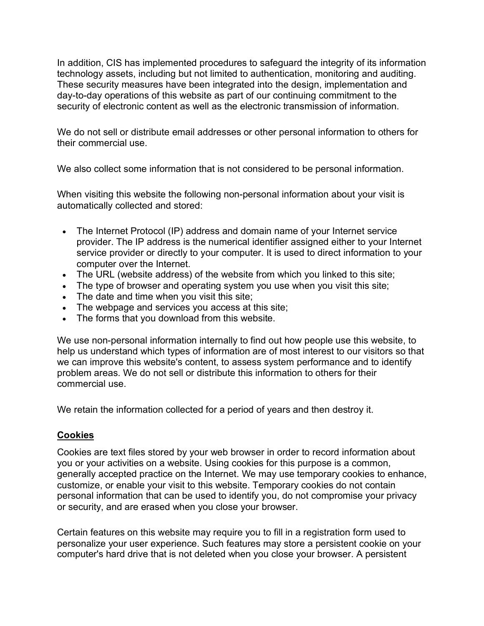In addition, CIS has implemented procedures to safeguard the integrity of its information technology assets, including but not limited to authentication, monitoring and auditing. These security measures have been integrated into the design, implementation and day-to-day operations of this website as part of our continuing commitment to the security of electronic content as well as the electronic transmission of information.

We do not sell or distribute email addresses or other personal information to others for their commercial use.

We also collect some information that is not considered to be personal information.

When visiting this website the following non-personal information about your visit is automatically collected and stored:

- The Internet Protocol (IP) address and domain name of your Internet service provider. The IP address is the numerical identifier assigned either to your Internet service provider or directly to your computer. It is used to direct information to your computer over the Internet.
- The URL (website address) of the website from which you linked to this site;
- The type of browser and operating system you use when you visit this site;
- The date and time when you visit this site;
- The webpage and services you access at this site;
- The forms that you download from this website.

We use non-personal information internally to find out how people use this website, to help us understand which types of information are of most interest to our visitors so that we can improve this website's content, to assess system performance and to identify problem areas. We do not sell or distribute this information to others for their commercial use.

We retain the information collected for a period of years and then destroy it.

# **Cookies**

Cookies are text files stored by your web browser in order to record information about you or your activities on a website. Using cookies for this purpose is a common, generally accepted practice on the Internet. We may use temporary cookies to enhance, customize, or enable your visit to this website. Temporary cookies do not contain personal information that can be used to identify you, do not compromise your privacy or security, and are erased when you close your browser.

Certain features on this website may require you to fill in a registration form used to personalize your user experience. Such features may store a persistent cookie on your computer's hard drive that is not deleted when you close your browser. A persistent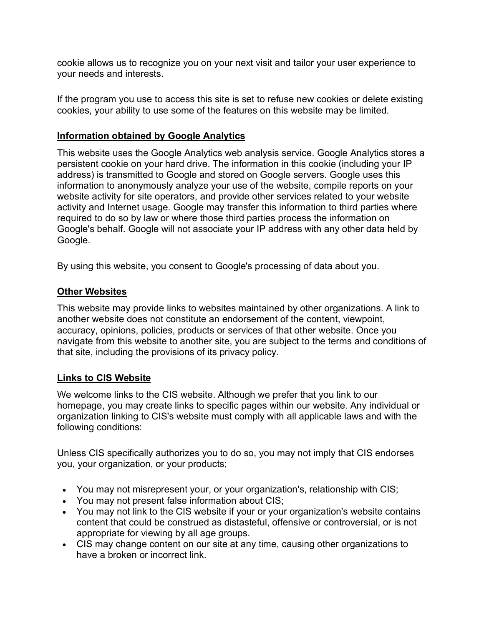cookie allows us to recognize you on your next visit and tailor your user experience to your needs and interests.

If the program you use to access this site is set to refuse new cookies or delete existing cookies, your ability to use some of the features on this website may be limited.

# **Information obtained by Google Analytics**

This website uses the Google Analytics web analysis service. Google Analytics stores a persistent cookie on your hard drive. The information in this cookie (including your IP address) is transmitted to Google and stored on Google servers. Google uses this information to anonymously analyze your use of the website, compile reports on your website activity for site operators, and provide other services related to your website activity and Internet usage. Google may transfer this information to third parties where required to do so by law or where those third parties process the information on Google's behalf. Google will not associate your IP address with any other data held by Google.

By using this website, you consent to Google's processing of data about you.

# **Other Websites**

This website may provide links to websites maintained by other organizations. A link to another website does not constitute an endorsement of the content, viewpoint, accuracy, opinions, policies, products or services of that other website. Once you navigate from this website to another site, you are subject to the terms and conditions of that site, including the provisions of its privacy policy.

# **Links to CIS Website**

We welcome links to the CIS website. Although we prefer that you link to our homepage, you may create links to specific pages within our website. Any individual or organization linking to CIS's website must comply with all applicable laws and with the following conditions:

Unless CIS specifically authorizes you to do so, you may not imply that CIS endorses you, your organization, or your products;

- You may not misrepresent your, or your organization's, relationship with CIS;
- You may not present false information about CIS;
- You may not link to the CIS website if your or your organization's website contains content that could be construed as distasteful, offensive or controversial, or is not appropriate for viewing by all age groups.
- CIS may change content on our site at any time, causing other organizations to have a broken or incorrect link.